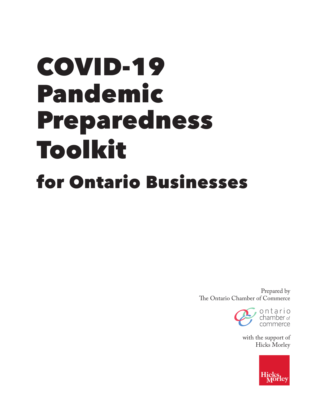# COVID-19 Pandemic Preparedness Toolkit for Ontario Businesses

Prepared by The Ontario Chamber of Commerce



ontario<br>chamber<sub>of</sub> commerce

with the support of Hicks Morley

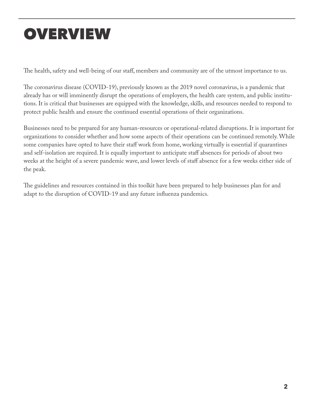# **OVERVIEW**

The health, safety and well-being of our staff, members and community are of the utmost importance to us.

The coronavirus disease (COVID-19), previously known as the 2019 novel coronavirus, is a pandemic that already has or will imminently disrupt the operations of employers, the health care system, and public institutions. It is critical that businesses are equipped with the knowledge, skills, and resources needed to respond to protect public health and ensure the continued essential operations of their organizations.

Businesses need to be prepared for any human-resources or operational-related disruptions. It is important for organizations to consider whether and how some aspects of their operations can be continued remotely. While some companies have opted to have their staff work from home, working virtually is essential if quarantines and self-isolation are required. It is equally important to anticipate staff absences for periods of about two weeks at the height of a severe pandemic wave, and lower levels of staff absence for a few weeks either side of the peak.

The guidelines and resources contained in this toolkit have been prepared to help businesses plan for and adapt to the disruption of COVID-19 and any future influenza pandemics.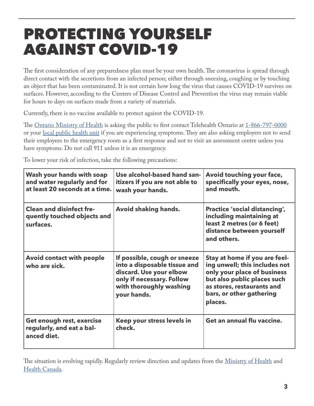# PROTECTING YOURSELF AGAINST COVID-19

The first consideration of any preparedness plan must be your own health. The coronavirus is spread through direct contact with the secretions from an infected person; either through sneezing, coughing or by touching an object that has been contaminated. It is not certain how long the virus that causes COVID-19 survives on surfaces. However, according to the Centers of Disease Control and Prevention the virus may remain viable for hours to days on surfaces made from a variety of materials.

Currently, there is no vaccine available to protect against the COVID-19.

The [Ontario Ministry of Health](https://www.ontario.ca/page/2019-novel-coronavirus) is asking the public to first contact Telehealth Ontario at 1-866-797-0000 or your [local public health unit](http://www.health.gov.on.ca/en/common/system/services/phu/locations.aspx) if you are experiencing symptoms. They are also asking employers not to send their employees to the emergency room as a first response and not to visit an assessment centre unless you have symptoms. Do not call 911 unless it is an emergency.

To lower your risk of infection, take the following precautions:

| Wash your hands with soap<br>and water regularly and for<br>at least 20 seconds at a time. | Use alcohol-based hand san-<br>itizers if you are not able to<br>wash your hands.                                                                              | Avoid touching your face,<br>specifically your eyes, nose,<br>and mouth.                                                                                                                          |
|--------------------------------------------------------------------------------------------|----------------------------------------------------------------------------------------------------------------------------------------------------------------|---------------------------------------------------------------------------------------------------------------------------------------------------------------------------------------------------|
| <b>Clean and disinfect fre-</b><br>quently touched objects and<br>surfaces.                | <b>Avoid shaking hands.</b>                                                                                                                                    | <b>Practice 'social distancing',</b><br>including maintaining at<br>least 2 metres (or 6 feet)<br>distance between yourself<br>and others.                                                        |
| <b>Avoid contact with people</b><br>who are sick.                                          | If possible, cough or sneeze<br>into a disposable tissue and<br>discard. Use your elbow<br>only if necessary. Follow<br>with thoroughly washing<br>your hands. | Stay at home if you are feel-<br>ing unwell; this includes not<br>only your place of business<br>but also public places such<br>as stores, restaurants and<br>bars, or other gathering<br>places. |
| Get enough rest, exercise<br>regularly, and eat a bal-<br>anced diet.                      | Keep your stress levels in<br>check.                                                                                                                           | Get an annual flu vaccine.                                                                                                                                                                        |

The situation is evolving rapidly. Regularly review direction and updates from the <u>Ministry of Health</u> and [Health Canada.](https://www.canada.ca/en/public-health/services/diseases/2019-novel-coronavirus-infection/canadas-reponse/government-canada-takes-action-covid-19.html)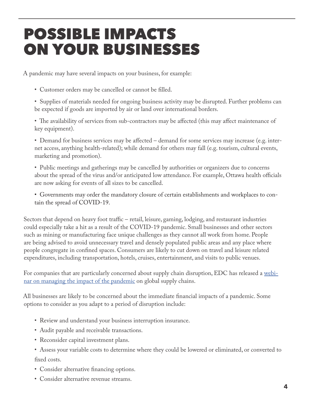# POSSIBLE IMPACTS ON YOUR BUSINESSES

A pandemic may have several impacts on your business, for example:

- Customer orders may be cancelled or cannot be filled.
- Supplies of materials needed for ongoing business activity may be disrupted. Further problems can be expected if goods are imported by air or land over international borders.
- The availability of services from sub-contractors may be affected (this may affect maintenance of key equipment).

• Demand for business services may be affected – demand for some services may increase (e.g. internet access, anything health-related); while demand for others may fall (e.g. tourism, cultural events, marketing and promotion).

• Public meetings and gatherings may be cancelled by authorities or organizers due to concerns about the spread of the virus and/or anticipated low attendance. For example, Ottawa health officials are now asking for events of all sizes to be cancelled.

• Governments may order the mandatory closure of certain establishments and workplaces to contain the spread of COVID-19.

Sectors that depend on heavy foot traffic – retail, leisure, gaming, lodging, and restaurant industries could especially take a hit as a result of the COVID-19 pandemic. Small businesses and other sectors such as mining or manufacturing face unique challenges as they cannot all work from home. People are being advised to avoid unnecessary travel and densely populated public areas and any place where people congregate in confined spaces. Consumers are likely to cut down on travel and leisure related expenditures, including transportation, hotels, cruises, entertainment, and visits to public venues.

For companies that are particularly concerned about supply chain disruption, EDC has released a [webi](http://www.edc.ca/en/events/webinar/managing-impact-on-global-supply-chains.html?utm_source=eloqua&utm_medium=edc-email&utm_campaign=ac-kbs_coronavirus2020&utm_content=link_invite1a_mar-20_e)[nar on managing the impact of the pandemic](http://www.edc.ca/en/events/webinar/managing-impact-on-global-supply-chains.html?utm_source=eloqua&utm_medium=edc-email&utm_campaign=ac-kbs_coronavirus2020&utm_content=link_invite1a_mar-20_e) on global supply chains.

All businesses are likely to be concerned about the immediate financial impacts of a pandemic. Some options to consider as you adapt to a period of disruption include:

- Review and understand your business interruption insurance.
- Audit payable and receivable transactions.
- Reconsider capital investment plans.
- Assess your variable costs to determine where they could be lowered or eliminated, or converted to fixed costs.
- Consider alternative financing options.
- Consider alternative revenue streams.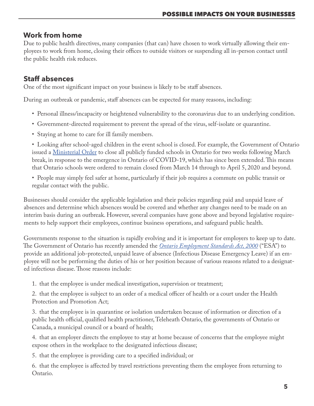### **Work from home**

Due to public health directives, many companies (that can) have chosen to work virtually allowing their employees to work from home, closing their offices to outside visitors or suspending all in-person contact until the public health risk reduces.

# **Staff absences**

One of the most significant impact on your business is likely to be staff absences.

During an outbreak or pandemic, staff absences can be expected for many reasons, including:

- Personal illness/incapacity or heightened vulnerability to the coronavirus due to an underlying condition.
- Government-directed requirement to prevent the spread of the virus, self-isolate or quarantine.
- Staying at home to care for ill family members.

• Looking after school-aged children in the event school is closed. For example, the Government of Ontario issued a [Ministerial Order](https://news.ontario.ca/opo/en/2020/3/title.html) to close all publicly funded schools in Ontario for two weeks following March break, in response to the emergence in Ontario of COVID-19, which has since been extended. This means that Ontario schools were ordered to remain closed from March 14 through to April 5, 2020 and beyond.

• People may simply feel safer at home, particularly if their job requires a commute on public transit or regular contact with the public.

Businesses should consider the applicable legislation and their policies regarding paid and unpaid leave of absences and determine which absences would be covered and whether any changes need to be made on an interim basis during an outbreak. However, several companies have gone above and beyond legislative requirements to help support their employees, continue business operations, and safeguard public health.

Governments response to the situation is rapidly evolving and it is important for employers to keep up to date. The Government of Ontario has recently amended the *[Ontario Employment Standards Act, 2000](https://www.ontario.ca/document/your-guide-employment-standards-act-0)* ("ESA") to provide an additional job-protected, unpaid leave of absence (Infectious Disease Emergency Leave) if an employee will not be performing the duties of his or her position because of various reasons related to a designated infectious disease. Those reasons include:

1. that the employee is under medical investigation, supervision or treatment;

2. that the employee is subject to an order of a medical officer of health or a court under the Health Protection and Promotion Act;

3. that the employee is in quarantine or isolation undertaken because of information or direction of a public health official, qualified health practitioner, Teleheath Ontario, the governments of Ontario or Canada, a municipal council or a board of health;

4. that an employer directs the employee to stay at home because of concerns that the employee might expose others in the workplace to the designated infectious disease;

5. that the employee is providing care to a specified individual; or

6. that the employee is affected by travel restrictions preventing them the employee from returning to Ontario.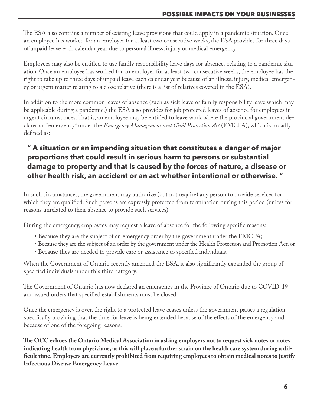The ESA also contains a number of existing leave provisions that could apply in a pandemic situation. Once an employee has worked for an employer for at least two consecutive weeks, the ESA provides for three days of unpaid leave each calendar year due to personal illness, injury or medical emergency.

Employees may also be entitled to use family responsibility leave days for absences relating to a pandemic situation. Once an employee has worked for an employer for at least two consecutive weeks, the employee has the right to take up to three days of unpaid leave each calendar year because of an illness, injury, medical emergency or urgent matter relating to a close relative (there is a list of relatives covered in the ESA).

In addition to the more common leaves of absence (such as sick leave or family responsibility leave which may be applicable during a pandemic,) the ESA also provides for job protected leaves of absence for employees in urgent circumstances. That is, an employee may be entitled to leave work where the provincial government declares an "emergency" under the *Emergency Management and Civil Protection Act* (EMCPA), which is broadly defined as:

# **" A situation or an impending situation that constitutes a danger of major proportions that could result in serious harm to persons or substantial damage to property and that is caused by the forces of nature, a disease or other health risk, an accident or an act whether intentional or otherwise. "**

In such circumstances, the government may authorize (but not require) any person to provide services for which they are qualified. Such persons are expressly protected from termination during this period (unless for reasons unrelated to their absence to provide such services).

During the emergency, employees may request a leave of absence for the following specific reasons:

- Because they are the subject of an emergency order by the government under the EMCPA;
- Because they are the subject of an order by the government under the Health Protection and Promotion Act; or
- Because they are needed to provide care or assistance to specified individuals.

When the Government of Ontario recently amended the ESA, it also significantly expanded the group of specified individuals under this third category.

The Government of Ontario has now declared an emergency in the Province of Ontario due to COVID-19 and issued orders that specified establishments must be closed.

Once the emergency is over, the right to a protected leave ceases unless the government passes a regulation specifically providing that the time for leave is being extended because of the effects of the emergency and because of one of the foregoing reasons.

**The OCC echoes the Ontario Medical Association in asking employers not to request sick notes or notes indicating health from physicians, as this will place a further strain on the health care system during a difficult time. Employers are currently prohibited from requiring employees to obtain medical notes to justify Infectious Disease Emergency Leave.**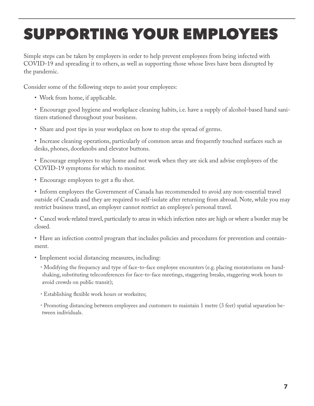# SUPPORTING YOUR EMPLOYEES

Simple steps can be taken by employers in order to help prevent employees from being infected with COVID-19 and spreading it to others, as well as supporting those whose lives have been disrupted by the pandemic.

Consider some of the following steps to assist your employees:

• Work from home, if applicable.

• Encourage good hygiene and workplace cleaning habits, i.e. have a supply of alcohol-based hand sanitizers stationed throughout your business.

• Share and post tips in your workplace on how to stop the spread of germs.

• Increase cleaning operations, particularly of common areas and frequently touched surfaces such as desks, phones, doorknobs and elevator buttons.

• Encourage employees to stay home and not work when they are sick and advise employees of the COVID-19 symptoms for which to monitor.

• Encourage employees to get a flu shot.

• Inform employees the Government of Canada has recommended to avoid any non-essential travel outside of Canada and they are required to self-isolate after returning from abroad. Note, while you may restrict business travel, an employer cannot restrict an employee's personal travel.

• Cancel work-related travel, particularly to areas in which infection rates are high or where a border may be closed.

• Have an infection control program that includes policies and procedures for prevention and containment.

- Implement social distancing measures, including:
	- Modifying the frequency and type of face-to-face employee encounters (e.g. placing moratoriums on handshaking, substituting teleconferences for face-to-face meetings, staggering breaks, staggering work hours to avoid crowds on public transit);
	- Establishing flexible work hours or worksites;

• Promoting distancing between employees and customers to maintain 1 metre (3 feet) spatial separation between individuals.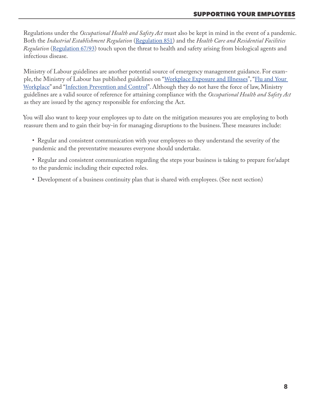Regulations under the *Occupational Health and Safety Act* must also be kept in mind in the event of a pandemic. Both the *Industrial Establishment Regulation* ([Regulation 851](https://www.ontario.ca/laws/regulation/900851)) and the *Health Care and Residential Facilities Regulation* ([Regulation 67/93](https://www.ontario.ca/laws/regulation/930067/v9)) touch upon the threat to health and safety arising from biological agents and infectious disease.

Ministry of Labour guidelines are another potential source of emergency management guidance. For exam-ple, the Ministry of Labour has published guidelines on "[Workplace Exposure and Illnesses](https://www.ontario.ca/page/workplace-exposure-and-illnesses)", "Flu and Your [Workplace](https://www.labour.gov.on.ca/english/hs/pubs/ib_flu.php)" and "[Infection Prevention and Control](https://www.labour.gov.on.ca/english/hs/sawo/pubs/fs_preventioncontrol.php)". Although they do not have the force of law, Ministry guidelines are a valid source of reference for attaining compliance with the *Occupational Health and Safety Act* as they are issued by the agency responsible for enforcing the Act.

You will also want to keep your employees up to date on the mitigation measures you are employing to both reassure them and to gain their buy-in for managing disruptions to the business. These measures include:

- Regular and consistent communication with your employees so they understand the severity of the pandemic and the preventative measures everyone should undertake.
- Regular and consistent communication regarding the steps your business is taking to prepare for/adapt to the pandemic including their expected roles.
- Development of a business continuity plan that is shared with employees. (See next section)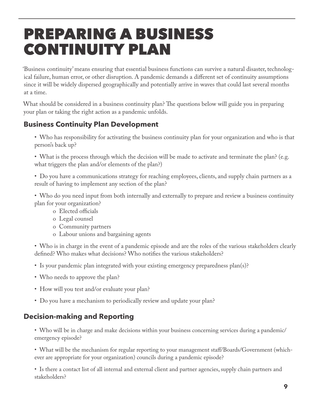# PREPARING A BUSINESS CONTINUITY PLAN

'Business continuity' means ensuring that essential business functions can survive a natural disaster, technological failure, human error, or other disruption. A pandemic demands a different set of continuity assumptions since it will be widely dispersed geographically and potentially arrive in waves that could last several months at a time.

What should be considered in a business continuity plan? The questions below will guide you in preparing your plan or taking the right action as a pandemic unfolds.

# **Business Continuity Plan Development**

• Who has responsibility for activating the business continuity plan for your organization and who is that person's back up?

• What is the process through which the decision will be made to activate and terminate the plan? (e.g. what triggers the plan and/or elements of the plan?)

• Do you have a communications strategy for reaching employees, clients, and supply chain partners as a result of having to implement any section of the plan?

• Who do you need input from both internally and externally to prepare and review a business continuity plan for your organization?

- o Elected officials
- o Legal counsel
- o Community partners
- o Labour unions and bargaining agents

• Who is in charge in the event of a pandemic episode and are the roles of the various stakeholders clearly defined? Who makes what decisions? Who notifies the various stakeholders?

- Is your pandemic plan integrated with your existing emergency preparedness plan(s)?
- Who needs to approve the plan?
- How will you test and/or evaluate your plan?
- Do you have a mechanism to periodically review and update your plan?

### **Decision-making and Reporting**

• Who will be in charge and make decisions within your business concerning services during a pandemic/ emergency episode?

• What will be the mechanism for regular reporting to your management staff/Boards/Government (whichever are appropriate for your organization) councils during a pandemic episode?

• Is there a contact list of all internal and external client and partner agencies, supply chain partners and stakeholders?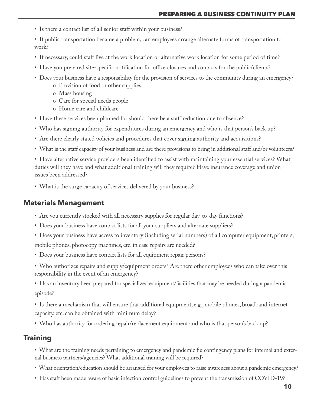- Is there a contact list of all senior staff within your business?
- If public transportation became a problem, can employees arrange alternate forms of transportation to work?
- If necessary, could staff live at the work location or alternative work location for some period of time?
- Have you prepared site-specific notification for office closures and contacts for the public/clients?
- Does your business have a responsibility for the provision of services to the community during an emergency?
	- o Provision of food or other supplies
	- o Mass housing
	- o Care for special needs people
	- o Home care and childcare
- Have these services been planned for should there be a staff reduction due to absence?
- Who has signing authority for expenditures during an emergency and who is that person's back up?
- Are there clearly stated policies and procedures that cover signing authority and acquisitions?
- What is the staff capacity of your business and are there provisions to bring in additional staff and/or volunteers?

• Have alternative service providers been identified to assist with maintaining your essential services? What duties will they have and what additional training will they require? Have insurance coverage and union issues been addressed?

• What is the surge capacity of services delivered by your business?

#### **Materials Management**

- Are you currently stocked with all necessary supplies for regular day-to-day functions?
- Does your business have contact lists for all your suppliers and alternate suppliers?
- Does your business have access to inventory (including serial numbers) of all computer equipment, printers, mobile phones, photocopy machines, etc. in case repairs are needed?
- Does your business have contact lists for all equipment repair persons?
- Who authorizes repairs and supply/equipment orders? Are there other employees who can take over this responsibility in the event of an emergency?

• Has an inventory been prepared for specialized equipment/facilities that may be needed during a pandemic episode?

• Is there a mechanism that will ensure that additional equipment, e.g., mobile phones, broadband internet capacity, etc. can be obtained with minimum delay?

• Who has authority for ordering repair/replacement equipment and who is that person's back up?

#### **Training**

- What are the training needs pertaining to emergency and pandemic flu contingency plans for internal and external business partners/agencies? What additional training will be required?
- What orientation/education should be arranged for your employees to raise awareness about a pandemic emergency?
- Has staff been made aware of basic infection control guidelines to prevent the transmission of COVID-19?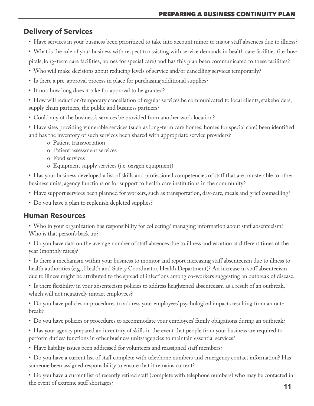## **Delivery of Services**

- Have services in your business been prioritized to take into account minor to major staff absences due to illness?
- What is the role of your business with respect to assisting with service demands in health care facilities (i.e. hospitals, long-term care facilities, homes for special care) and has this plan been communicated to these facilities?
- Who will make decisions about reducing levels of service and/or cancelling services temporarily?
- Is there a pre-approval process in place for purchasing additional supplies?
- If not, how long does it take for approval to be granted?
- How will reduction/temporary cancellation of regular services be communicated to local clients, stakeholders, supply chain partners, the public and business partners?
- Could any of the business's services be provided from another work location?
- Have sites providing vulnerable services (such as long-term care homes, homes for special care) been identified and has the inventory of such services been shared with appropriate service providers?
	- o Patient transportation
	- o Patient assessment services
	- o Food services
	- o Equipment supply services (i.e. oxygen equipment)

• Has your business developed a list of skills and professional competencies of staff that are transferable to other business units, agency functions or for support to health care institutions in the community?

- Have support services been planned for workers, such as transportation, day-care, meals and grief counselling?
- Do you have a plan to replenish depleted supplies?

### **Human Resources**

• Who in your organization has responsibility for collecting/ managing information about staff absenteeism? Who is that person's back up?

• Do you have data on the average number of staff absences due to illness and vacation at different times of the year (monthly rates)?

• Is there a mechanism within your business to monitor and report increasing staff absenteeism due to illness to health authorities (e.g., Health and Safety Coordinator, Health Department)? An increase in staff absenteeism due to illness might be attributed to the spread of infections among co-workers suggesting an outbreak of disease.

• Is there flexibility in your absenteeism policies to address heightened absenteeism as a result of an outbreak, which will not negatively impact employees?

• Do you have policies or procedures to address your employees' psychological impacts resulting from an outbreak?

- Do you have policies or procedures to accommodate your employees' family obligations during an outbreak?
- Has your agency prepared an inventory of skills in the event that people from your business are required to perform duties/ functions in other business units/agencies to maintain essential services?
- Have liability issues been addressed for volunteers and reassigned staff members?
- Do you have a current list of staff complete with telephone numbers and emergency contact information? Has someone been assigned responsibility to ensure that it remains current?

• Do you have a current list of recently retired staff (complete with telephone numbers) who may be contacted in the event of extreme staff shortages?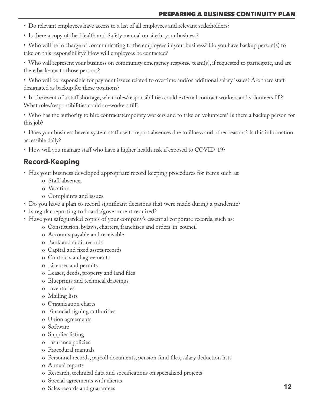- Do relevant employees have access to a list of all employees and relevant stakeholders?
- Is there a copy of the Health and Safety manual on site in your business?

• Who will be in charge of communicating to the employees in your business? Do you have backup person(s) to take on this responsibility? How will employees be contacted?

• Who will represent your business on community emergency response team(s), if requested to participate, and are there back-ups to those persons?

• Who will be responsible for payment issues related to overtime and/or additional salary issues? Are there staff designated as backup for these positions?

• In the event of a staff shortage, what roles/responsibilities could external contract workers and volunteers fill? What roles/responsibilities could co-workers fill?

• Who has the authority to hire contract/temporary workers and to take on volunteers? Is there a backup person for this job?

• Does your business have a system staff use to report absences due to illness and other reasons? Is this information accessible daily?

• How will you manage staff who have a higher health risk if exposed to COVID-19?

# **Record-Keeping**

- Has your business developed appropriate record keeping procedures for items such as:
	- o Staff absences
	- o Vacation
	- o Complaints and issues
- Do you have a plan to record significant decisions that were made during a pandemic?
- Is regular reporting to boards/government required?
- Have you safeguarded copies of your company's essential corporate records, such as:
	- o Constitution, bylaws, charters, franchises and orders-in-council
	- o Accounts payable and receivable
	- o Bank and audit records
	- o Capital and fixed assets records
	- o Contracts and agreements
	- o Licenses and permits
	- o Leases, deeds, property and land files
	- o Blueprints and technical drawings
	- o Inventories
	- o Mailing lists
	- o Organization charts
	- o Financial signing authorities
	- o Union agreements
	- o Software
	- o Supplier listing
	- o Insurance policies
	- o Procedural manuals
	- o Personnel records, payroll documents, pension fund files, salary deduction lists
	- o Annual reports
	- o Research, technical data and specifications on specialized projects
	- o Special agreements with clients
	- o Sales records and guarantees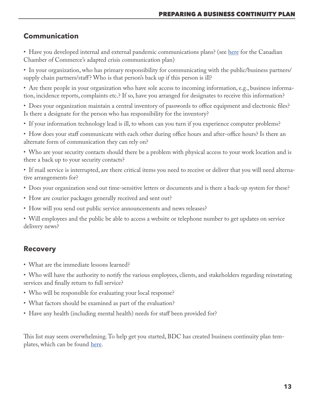# **Communication**

• Have you developed internal and external pandemic communications plans? (see [here](https://files.constantcontact.com/e74ab88b301/e66c6d52-2523-4aad-9893-c75b3ffda5f8.pdf) for the Canadian Chamber of Commerce's adapted crisis communication plan)

• In your organization, who has primary responsibility for communicating with the public/business partners/ supply chain partners/staff? Who is that person's back up if this person is ill?

• Are there people in your organization who have sole access to incoming information, e.g., business information, incidence reports, complaints etc.? If so, have you arranged for designates to receive this information?

• Does your organization maintain a central inventory of passwords to office equipment and electronic files? Is there a designate for the person who has responsibility for the inventory?

• If your information technology lead is ill, to whom can you turn if you experience computer problems?

• How does your staff communicate with each other during office hours and after-office hours? Is there an alternate form of communication they can rely on?

• Who are your security contacts should there be a problem with physical access to your work location and is there a back up to your security contacts?

• If mail service is interrupted, are there critical items you need to receive or deliver that you will need alternative arrangements for?

- Does your organization send out time-sensitive letters or documents and is there a back-up system for these?
- How are courier packages generally received and sent out?
- How will you send out public service announcements and news releases?

• Will employees and the public be able to access a website or telephone number to get updates on service delivery news?

## **Recovery**

• What are the immediate lessons learned?

• Who will have the authority to notify the various employees, clients, and stakeholders regarding reinstating services and finally return to full service?

- Who will be responsible for evaluating your local response?
- What factors should be examined as part of the evaluation?
- Have any health (including mental health) needs for staff been provided for?

This list may seem overwhelming. To help get you started, BDC has created business continuity plan templates, which can be found [here](https://www.bdc.ca/en/articles-tools/entrepreneur-toolkit/templates-business-guides/pages/business-continuity-guide-templates-entrepreneurs.aspx).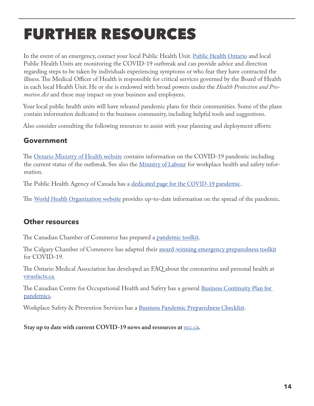# FURTHER RESOURCES

In the event of an emergency, contact your local Public Health Unit. [Public Health Ontario](https://www.publichealthontario.ca/) and local Public Health Units are monitoring the COVID-19 outbreak and can provide advice and direction regarding steps to be taken by individuals experiencing symptoms or who fear they have contracted the illness. The Medical Officer of Health is responsible for critical services governed by the Board of Health in each local Health Unit. He or she is endowed with broad powers under the *Health Protection and Promotion Act* and these may impact on your business and employees.

Your local public health units will have released pandemic plans for their communities. Some of the plans contain information dedicated to the business community, including helpful tools and suggestions.

Also consider consulting the following resources to assist with your planning and deployment efforts:

## **Government**

The [Ontario Ministry of Health website](https://www.ontario.ca/page/2019-novel-coronavirus) contains information on the COVID-19 pandemic including the current status of the outbreak. See also the [Ministry of Labour](https://www.labour.gov.on.ca/english/hs/pubs/ib_flu.php) for workplace health and safety information.

The Public Health Agency of Canada has a [dedicated page for the COVID-19 pandemic](https://www.canada.ca/en/public-health/services/diseases/coronavirus-disease-covid-19.html).

The [World Health Organization website](https://www.who.int/emergencies/diseases/novel-coronavirus-2019) provides up-to-date information on the spread of the pandemic.

## **Other resources**

The Canadian Chamber of Commerce has prepared a [pandemic toolkit](http://www.chamber.ca/resources/pandemic-preparedness/BusinessPrepGuidePanPrep2020).

The Calgary Chamber of Commerce has adapted their **[award-winning emergency preparedness toolkit](https://www.calgarychamber.com/resources/emergency-preparedness/)** for COVID-19.

The Ontario Medical Association has developed an FAQ about the coronavirus and personal health at [virusfacts.ca.](http://virusfacts.ca)

The Canadian Centre for Occupational Health and Safety has a general Business Continuity Plan for [pandemics](https://www.ccohs.ca/publications/PDF/businesscontinuity.pdf).

Workplace Safety & Prevention Services has a [Business Pandemic Preparedness Checklist](https://www.wsps.ca/WSPS/media/Site/Resources/Downloads/Bsnss_Pndmc_Prprdnss_Chcklst_FINAL.pdf?ext=.pdf).

**Stay up to date with current COVID-19 news and resources at** [occ.ca](http://occ.ca)**.**